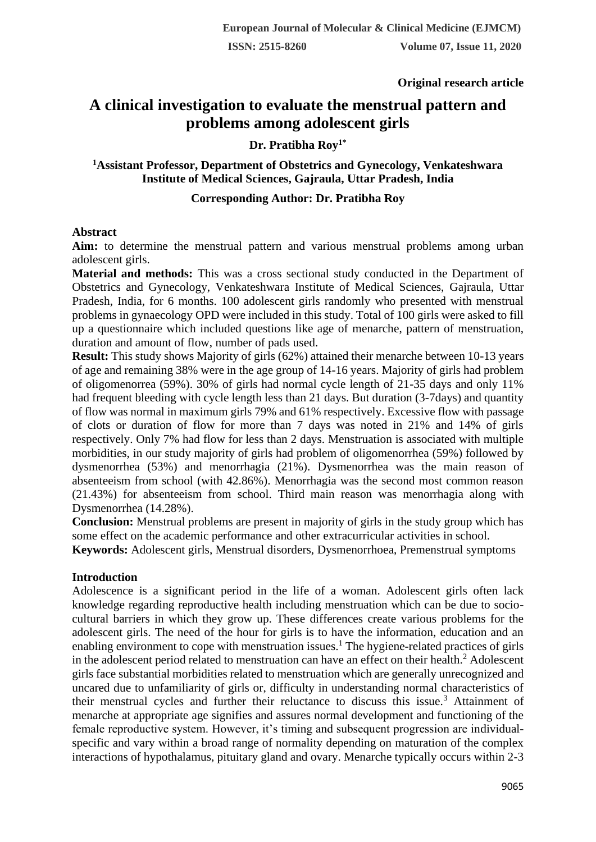**Original research article** 

# **A clinical investigation to evaluate the menstrual pattern and problems among adolescent girls**

## **Dr. Pratibha Roy1\***

## **<sup>1</sup>Assistant Professor, Department of Obstetrics and Gynecology, Venkateshwara Institute of Medical Sciences, Gajraula, Uttar Pradesh, India**

## **Corresponding Author: Dr. Pratibha Roy**

#### **Abstract**

**Aim:** to determine the menstrual pattern and various menstrual problems among urban adolescent girls.

**Material and methods:** This was a cross sectional study conducted in the Department of Obstetrics and Gynecology, Venkateshwara Institute of Medical Sciences, Gajraula, Uttar Pradesh, India, for 6 months. 100 adolescent girls randomly who presented with menstrual problems in gynaecology OPD were included in this study. Total of 100 girls were asked to fill up a questionnaire which included questions like age of menarche, pattern of menstruation, duration and amount of flow, number of pads used.

**Result:** This study shows Majority of girls (62%) attained their menarche between 10-13 years of age and remaining 38% were in the age group of 14-16 years. Majority of girls had problem of oligomenorrea (59%). 30% of girls had normal cycle length of 21-35 days and only 11% had frequent bleeding with cycle length less than 21 days. But duration (3-7days) and quantity of flow was normal in maximum girls 79% and 61% respectively. Excessive flow with passage of clots or duration of flow for more than 7 days was noted in 21% and 14% of girls respectively. Only 7% had flow for less than 2 days. Menstruation is associated with multiple morbidities, in our study majority of girls had problem of oligomenorrhea (59%) followed by dysmenorrhea (53%) and menorrhagia (21%). Dysmenorrhea was the main reason of absenteeism from school (with 42.86%). Menorrhagia was the second most common reason (21.43%) for absenteeism from school. Third main reason was menorrhagia along with Dysmenorrhea (14.28%).

**Conclusion:** Menstrual problems are present in majority of girls in the study group which has some effect on the academic performance and other extracurricular activities in school.

**Keywords:** Adolescent girls, Menstrual disorders, Dysmenorrhoea, Premenstrual symptoms

## **Introduction**

Adolescence is a significant period in the life of a woman. Adolescent girls often lack knowledge regarding reproductive health including menstruation which can be due to sociocultural barriers in which they grow up. These differences create various problems for the adolescent girls. The need of the hour for girls is to have the information, education and an enabling environment to cope with menstruation issues.<sup>1</sup> The hygiene-related practices of girls in the adolescent period related to menstruation can have an effect on their health.<sup>2</sup> Adolescent girls face substantial morbidities related to menstruation which are generally unrecognized and uncared due to unfamiliarity of girls or, difficulty in understanding normal characteristics of their menstrual cycles and further their reluctance to discuss this issue.<sup>3</sup> Attainment of menarche at appropriate age signifies and assures normal development and functioning of the female reproductive system. However, it's timing and subsequent progression are individualspecific and vary within a broad range of normality depending on maturation of the complex interactions of hypothalamus, pituitary gland and ovary. Menarche typically occurs within 2-3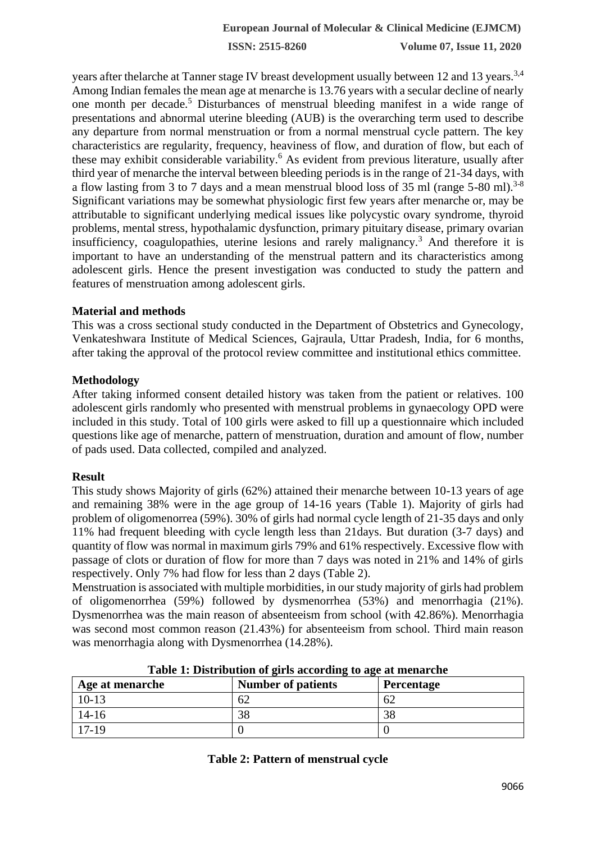**ISSN: 2515-8260 Volume 07, Issue 11, 2020**

years after thelarche at Tanner stage IV breast development usually between 12 and 13 years.<sup>3,4</sup> Among Indian females the mean age at menarche is 13.76 years with a secular decline of nearly one month per decade.<sup>5</sup> Disturbances of menstrual bleeding manifest in a wide range of presentations and abnormal uterine bleeding (AUB) is the overarching term used to describe any departure from normal menstruation or from a normal menstrual cycle pattern. The key characteristics are regularity, frequency, heaviness of flow, and duration of flow, but each of these may exhibit considerable variability.<sup>6</sup> As evident from previous literature, usually after third year of menarche the interval between bleeding periods is in the range of 21-34 days, with a flow lasting from 3 to 7 days and a mean menstrual blood loss of 35 ml (range 5-80 ml).<sup>3-8</sup> Significant variations may be somewhat physiologic first few years after menarche or, may be attributable to significant underlying medical issues like polycystic ovary syndrome, thyroid problems, mental stress, hypothalamic dysfunction, primary pituitary disease, primary ovarian insufficiency, coagulopathies, uterine lesions and rarely malignancy.<sup>3</sup> And therefore it is important to have an understanding of the menstrual pattern and its characteristics among adolescent girls. Hence the present investigation was conducted to study the pattern and features of menstruation among adolescent girls.

#### **Material and methods**

This was a cross sectional study conducted in the Department of Obstetrics and Gynecology, Venkateshwara Institute of Medical Sciences, Gajraula, Uttar Pradesh, India, for 6 months, after taking the approval of the protocol review committee and institutional ethics committee.

#### **Methodology**

After taking informed consent detailed history was taken from the patient or relatives. 100 adolescent girls randomly who presented with menstrual problems in gynaecology OPD were included in this study. Total of 100 girls were asked to fill up a questionnaire which included questions like age of menarche, pattern of menstruation, duration and amount of flow, number of pads used. Data collected, compiled and analyzed.

#### **Result**

This study shows Majority of girls (62%) attained their menarche between 10-13 years of age and remaining 38% were in the age group of 14-16 years (Table 1). Majority of girls had problem of oligomenorrea (59%). 30% of girls had normal cycle length of 21-35 days and only 11% had frequent bleeding with cycle length less than 21days. But duration (3-7 days) and quantity of flow was normal in maximum girls 79% and 61% respectively. Excessive flow with passage of clots or duration of flow for more than 7 days was noted in 21% and 14% of girls respectively. Only 7% had flow for less than 2 days (Table 2).

Menstruation is associated with multiple morbidities, in our study majority of girls had problem of oligomenorrhea (59%) followed by dysmenorrhea (53%) and menorrhagia (21%). Dysmenorrhea was the main reason of absenteeism from school (with 42.86%). Menorrhagia was second most common reason (21.43%) for absenteeism from school. Third main reason was menorrhagia along with Dysmenorrhea (14.28%).

| Age at menarche | <b>Number of patients</b> | <b>Percentage</b> |
|-----------------|---------------------------|-------------------|
| $10-13$         | 62                        | 62                |
| $14 - 16$       | 38                        | 38                |
| $17-19$         |                           |                   |

**Table 1: Distribution of girls according to age at menarche**

#### **Table 2: Pattern of menstrual cycle**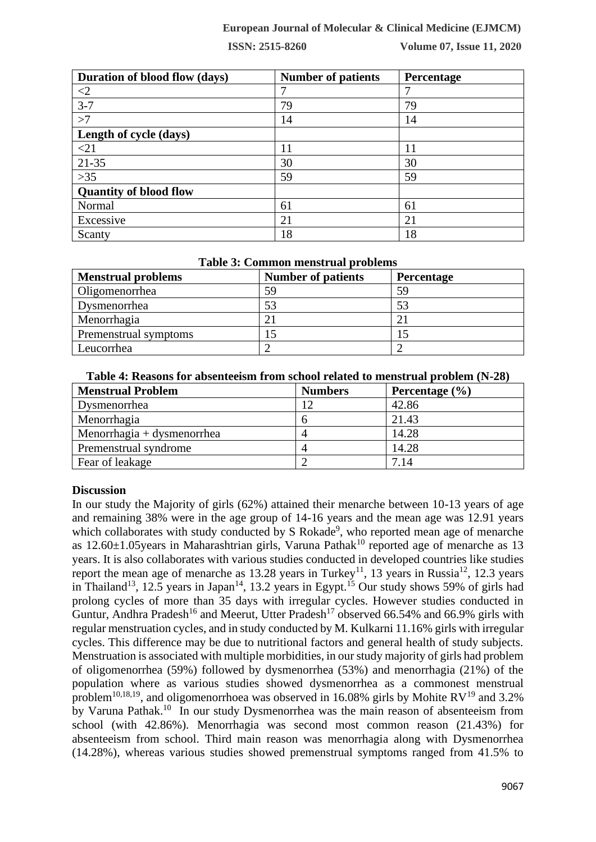#### **European Journal of Molecular & Clinical Medicine (EJMCM)**

**ISSN: 2515-8260 Volume 07, Issue 11, 2020**

| Duration of blood flow (days) | <b>Number of patients</b> | Percentage |
|-------------------------------|---------------------------|------------|
| $\leq$ 2                      |                           | 7          |
| $3 - 7$                       | 79                        | 79         |
| >7                            | 14                        | 14         |
| Length of cycle (days)        |                           |            |
| $<$ 21                        | 11                        | 11         |
| $21 - 35$                     | 30                        | 30         |
| $>35$                         | 59                        | 59         |
| <b>Quantity of blood flow</b> |                           |            |
| Normal                        | 61                        | 61         |
| Excessive                     | 21                        | 21         |
| Scanty                        | 18                        | 18         |

| Table 3: Common menstrual problems |                           |            |  |  |  |  |
|------------------------------------|---------------------------|------------|--|--|--|--|
| <b>Menstrual problems</b>          | <b>Number of patients</b> | Percentage |  |  |  |  |
| Oligomenorrhea                     | 59                        | 59         |  |  |  |  |
| Dysmenorrhea                       | 53                        | 53         |  |  |  |  |
| Menorrhagia                        | 21                        | 2.         |  |  |  |  |
| Premenstrual symptoms              |                           |            |  |  |  |  |
| Leucorrhea                         |                           |            |  |  |  |  |

### **Table 3: Common menstrual problems**

| Table 4: Reasons for absenteeism from school related to menstrual problem (N-28) |  |  |  |  |  |  |  |  |  |  |  |  |  |  |
|----------------------------------------------------------------------------------|--|--|--|--|--|--|--|--|--|--|--|--|--|--|
|----------------------------------------------------------------------------------|--|--|--|--|--|--|--|--|--|--|--|--|--|--|

| <b>Menstrual Problem</b>   | <b>Numbers</b> | Percentage $(\% )$ |
|----------------------------|----------------|--------------------|
| Dysmenorrhea               | 12             | 42.86              |
| Menorrhagia                | h              | 21.43              |
| Menorrhagia + dysmenorrhea | 4              | 14.28              |
| Premenstrual syndrome      | 4              | 14.28              |
| Fear of leakage            |                | 7.14               |

#### **Discussion**

In our study the Majority of girls (62%) attained their menarche between 10-13 years of age and remaining 38% were in the age group of 14-16 years and the mean age was 12.91 years which collaborates with study conducted by S Rokade<sup>9</sup>, who reported mean age of menarche as  $12.60\pm1.05$ years in Maharashtrian girls, Varuna Pathak<sup>10</sup> reported age of menarche as 13 years. It is also collaborates with various studies conducted in developed countries like studies report the mean age of menarche as 13.28 years in Turkey<sup>11</sup>, 13 years in Russia<sup>12</sup>, 12.3 years in Thailand<sup>13</sup>, 12.5 years in Japan<sup>14</sup>, 13.2 years in Egypt.<sup>15</sup> Our study shows 59% of girls had prolong cycles of more than 35 days with irregular cycles. However studies conducted in Guntur, Andhra Pradesh<sup>16</sup> and Meerut, Utter Pradesh<sup>17</sup> observed 66.54% and 66.9% girls with regular menstruation cycles, and in study conducted by M. Kulkarni 11.16% girls with irregular cycles. This difference may be due to nutritional factors and general health of study subjects. Menstruation is associated with multiple morbidities, in our study majority of girls had problem of oligomenorrhea (59%) followed by dysmenorrhea (53%) and menorrhagia (21%) of the population where as various studies showed dysmenorrhea as a commonest menstrual problem<sup>10,18,19</sup>, and oligomenorrhoea was observed in 16.08% girls by Mohite RV<sup>19</sup> and 3.2% by Varuna Pathak.<sup>10</sup> In our study Dysmenorrhea was the main reason of absenteeism from school (with 42.86%). Menorrhagia was second most common reason (21.43%) for absenteeism from school. Third main reason was menorrhagia along with Dysmenorrhea (14.28%), whereas various studies showed premenstrual symptoms ranged from 41.5% to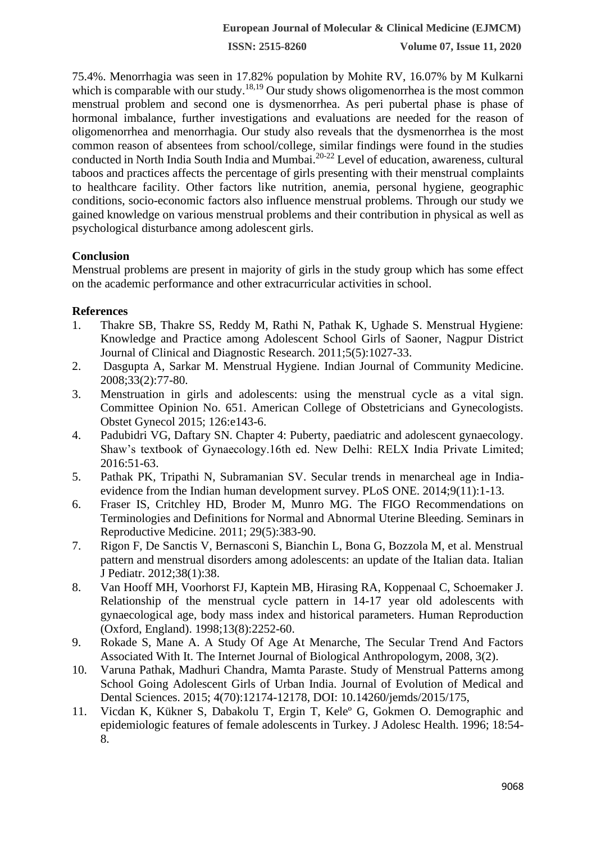**ISSN: 2515-8260 Volume 07, Issue 11, 2020**

75.4%. Menorrhagia was seen in 17.82% population by Mohite RV, 16.07% by M Kulkarni which is comparable with our study.<sup>18,19</sup> Our study shows oligomenorrhea is the most common menstrual problem and second one is dysmenorrhea. As peri pubertal phase is phase of hormonal imbalance, further investigations and evaluations are needed for the reason of oligomenorrhea and menorrhagia. Our study also reveals that the dysmenorrhea is the most common reason of absentees from school/college, similar findings were found in the studies conducted in North India South India and Mumbai.<sup>20-22</sup> Level of education, awareness, cultural taboos and practices affects the percentage of girls presenting with their menstrual complaints to healthcare facility. Other factors like nutrition, anemia, personal hygiene, geographic conditions, socio-economic factors also influence menstrual problems. Through our study we gained knowledge on various menstrual problems and their contribution in physical as well as psychological disturbance among adolescent girls.

## **Conclusion**

Menstrual problems are present in majority of girls in the study group which has some effect on the academic performance and other extracurricular activities in school.

### **References**

- 1. Thakre SB, Thakre SS, Reddy M, Rathi N, Pathak K, Ughade S. Menstrual Hygiene: Knowledge and Practice among Adolescent School Girls of Saoner, Nagpur District Journal of Clinical and Diagnostic Research. 2011;5(5):1027-33.
- 2. Dasgupta A, Sarkar M. Menstrual Hygiene. Indian Journal of Community Medicine. 2008;33(2):77-80.
- 3. Menstruation in girls and adolescents: using the menstrual cycle as a vital sign. Committee Opinion No. 651. American College of Obstetricians and Gynecologists. Obstet Gynecol 2015; 126:e143-6.
- 4. Padubidri VG, Daftary SN. Chapter 4: Puberty, paediatric and adolescent gynaecology. Shaw's textbook of Gynaecology.16th ed. New Delhi: RELX India Private Limited; 2016:51-63.
- 5. Pathak PK, Tripathi N, Subramanian SV. Secular trends in menarcheal age in Indiaevidence from the Indian human development survey. PLoS ONE. 2014;9(11):1-13.
- 6. Fraser IS, Critchley HD, Broder M, Munro MG. The FIGO Recommendations on Terminologies and Definitions for Normal and Abnormal Uterine Bleeding. Seminars in Reproductive Medicine. 2011; 29(5):383-90.
- 7. Rigon F, De Sanctis V, Bernasconi S, Bianchin L, Bona G, Bozzola M, et al. Menstrual pattern and menstrual disorders among adolescents: an update of the Italian data. Italian J Pediatr. 2012;38(1):38.
- 8. Van Hooff MH, Voorhorst FJ, Kaptein MB, Hirasing RA, Koppenaal C, Schoemaker J. Relationship of the menstrual cycle pattern in 14-17 year old adolescents with gynaecological age, body mass index and historical parameters. Human Reproduction (Oxford, England). 1998;13(8):2252-60.
- 9. Rokade S, Mane A. A Study Of Age At Menarche, The Secular Trend And Factors Associated With It. The Internet Journal of Biological Anthropologym, 2008, 3(2).
- 10. Varuna Pathak, Madhuri Chandra, Mamta Paraste. Study of Menstrual Patterns among School Going Adolescent Girls of Urban India. Journal of Evolution of Medical and Dental Sciences. 2015; 4(70):12174-12178, DOI: 10.14260/jemds/2015/175,
- 11. Vicdan K, Kükner S, Dabakolu T, Ergin T, Keleº G, Gokmen O. Demographic and epidemiologic features of female adolescents in Turkey. J Adolesc Health. 1996; 18:54- 8.